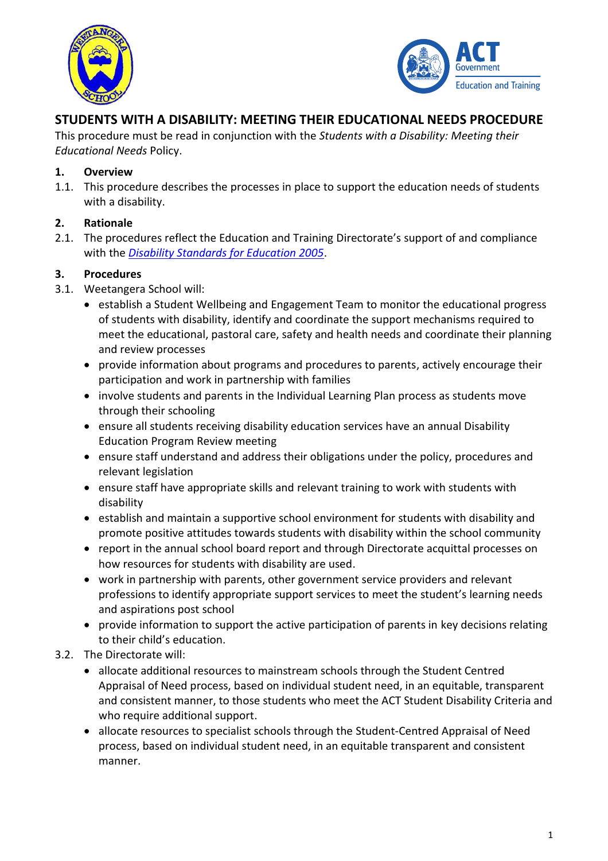



# **STUDENTS WITH A DISABILITY: MEETING THEIR EDUCATIONAL NEEDS PROCEDURE**

This procedure must be read in conjunction with the *Students with a Disability: Meeting their Educational Needs* Policy.

#### **1. Overview**

1.1. This procedure describes the processes in place to support the education needs of students with a disability.

#### **2. Rationale**

2.1. The procedures reflect the Education and Training Directorate's support of and compliance with the *[Disability Standards for Education 2005](http://docs.education.gov.au/system/files/doc/other/disability_standards_for_education_2005_plus_guidance_notes.pdf)*.

#### **3. Procedures**

- 3.1. Weetangera School will:
	- establish a Student Wellbeing and Engagement Team to monitor the educational progress of students with disability, identify and coordinate the support mechanisms required to meet the educational, pastoral care, safety and health needs and coordinate their planning and review processes
	- provide information about programs and procedures to parents, actively encourage their participation and work in partnership with families
	- involve students and parents in the Individual Learning Plan process as students move through their schooling
	- ensure all students receiving disability education services have an annual Disability Education Program Review meeting
	- ensure staff understand and address their obligations under the policy, procedures and relevant legislation
	- ensure staff have appropriate skills and relevant training to work with students with disability
	- establish and maintain a supportive school environment for students with disability and promote positive attitudes towards students with disability within the school community
	- report in the annual school board report and through Directorate acquittal processes on how resources for students with disability are used.
	- work in partnership with parents, other government service providers and relevant professions to identify appropriate support services to meet the student's learning needs and aspirations post school
	- provide information to support the active participation of parents in key decisions relating to their child's education.
- 3.2. The Directorate will:
	- allocate additional resources to mainstream schools through the Student Centred Appraisal of Need process, based on individual student need, in an equitable, transparent and consistent manner, to those students who meet the ACT Student Disability Criteria and who require additional support.
	- allocate resources to specialist schools through the Student-Centred Appraisal of Need process, based on individual student need, in an equitable transparent and consistent manner.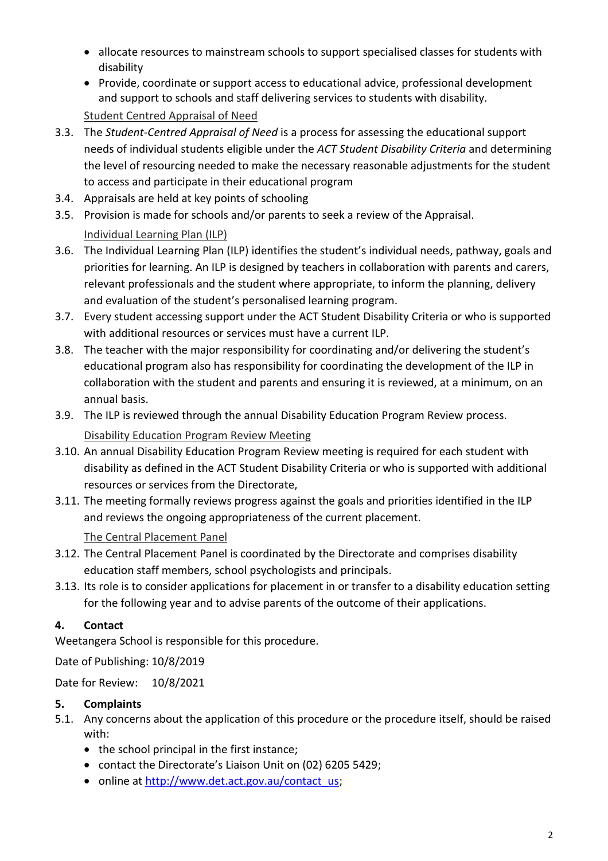- allocate resources to mainstream schools to support specialised classes for students with disability
- Provide, coordinate or support access to educational advice, professional development and support to schools and staff delivering services to students with disability. Student Centred Appraisal of Need
- 3.3. The *Student-Centred Appraisal of Need* is a process for assessing the educational support needs of individual students eligible under the *ACT Student Disability Criteria* and determining the level of resourcing needed to make the necessary reasonable adjustments for the student to access and participate in their educational program
- 3.4. Appraisals are held at key points of schooling
- 3.5. Provision is made for schools and/or parents to seek a review of the Appraisal. Individual Learning Plan (ILP)
- 3.6. The Individual Learning Plan (ILP) identifies the student's individual needs, pathway, goals and priorities for learning. An ILP is designed by teachers in collaboration with parents and carers, relevant professionals and the student where appropriate, to inform the planning, delivery and evaluation of the student's personalised learning program.
- 3.7. Every student accessing support under the ACT Student Disability Criteria or who is supported with additional resources or services must have a current ILP.
- 3.8. The teacher with the major responsibility for coordinating and/or delivering the student's educational program also has responsibility for coordinating the development of the ILP in collaboration with the student and parents and ensuring it is reviewed, at a minimum, on an annual basis.
- 3.9. The ILP is reviewed through the annual Disability Education Program Review process. Disability Education Program Review Meeting
- 3.10. An annual Disability Education Program Review meeting is required for each student with disability as defined in the ACT Student Disability Criteria or who is supported with additional resources or services from the Directorate,
- 3.11. The meeting formally reviews progress against the goals and priorities identified in the ILP and reviews the ongoing appropriateness of the current placement.

## The Central Placement Panel

- 3.12. The Central Placement Panel is coordinated by the Directorate and comprises disability education staff members, school psychologists and principals.
- 3.13. Its role is to consider applications for placement in or transfer to a disability education setting for the following year and to advise parents of the outcome of their applications.

## **4. Contact**

Weetangera School is responsible for this procedure.

Date of Publishing: 10/8/2019

Date for Review: 10/8/2021

## **5. Complaints**

- 5.1. Any concerns about the application of this procedure or the procedure itself, should be raised with:
	- the school principal in the first instance;
	- contact the Directorate's Liaison Unit on (02) 6205 5429;
	- online at [http://www.det.act.gov.au/contact\\_us;](http://www.det.act.gov.au/contact_us)